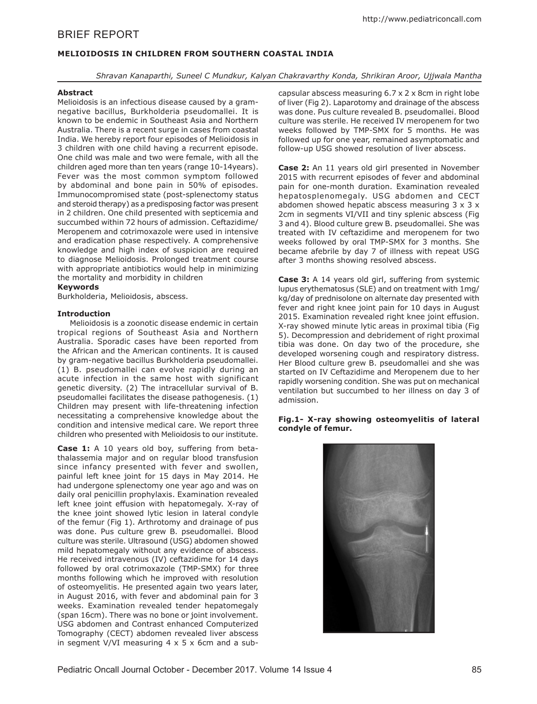# BRIEF REPORT

## **MELIOIDOSIS IN CHILDREN FROM SOUTHERN COASTAL INDIA**

*Shravan Kanaparthi, Suneel C Mundkur, Kalyan Chakravarthy Konda, Shrikiran Aroor, Ujjwala Mantha*

### **Abstract**

Melioidosis is an infectious disease caused by a gramnegative bacillus, Burkholderia pseudomallei. It is known to be endemic in Southeast Asia and Northern Australia. There is a recent surge in cases from coastal India. We hereby report four episodes of Melioidosis in 3 children with one child having a recurrent episode. One child was male and two were female, with all the children aged more than ten years (range 10-14years). Fever was the most common symptom followed by abdominal and bone pain in 50% of episodes. Immunocompromised state (post-splenectomy status and steroid therapy) as a predisposing factor was present in 2 children. One child presented with septicemia and succumbed within 72 hours of admission. Ceftazidime/ Meropenem and cotrimoxazole were used in intensive and eradication phase respectively. A comprehensive knowledge and high index of suspicion are required to diagnose Melioidosis. Prolonged treatment course with appropriate antibiotics would help in minimizing the mortality and morbidity in children

## **Keywords**

Burkholderia, Melioidosis, abscess.

### **Introduction**

Melioidosis is a zoonotic disease endemic in certain tropical regions of Southeast Asia and Northern Australia. Sporadic cases have been reported from the African and the American continents. It is caused by gram-negative bacillus Burkholderia pseudomallei. (1) B. pseudomallei can evolve rapidly during an acute infection in the same host with significant genetic diversity. (2) The intracellular survival of B. pseudomallei facilitates the disease pathogenesis. (1) Children may present with life-threatening infection necessitating a comprehensive knowledge about the condition and intensive medical care. We report three children who presented with Melioidosis to our institute.

**Case 1:** A 10 years old boy, suffering from betathalassemia major and on regular blood transfusion since infancy presented with fever and swollen, painful left knee joint for 15 days in May 2014. He had undergone splenectomy one year ago and was on daily oral penicillin prophylaxis. Examination revealed left knee joint effusion with hepatomegaly. X-ray of the knee joint showed lytic lesion in lateral condyle of the femur (Fig 1). Arthrotomy and drainage of pus was done. Pus culture grew B. pseudomallei. Blood culture was sterile. Ultrasound (USG) abdomen showed mild hepatomegaly without any evidence of abscess. He received intravenous (IV) ceftazidime for 14 days followed by oral cotrimoxazole (TMP-SMX) for three months following which he improved with resolution of osteomyelitis. He presented again two years later, in August 2016, with fever and abdominal pain for 3 weeks. Examination revealed tender hepatomegaly (span 16cm). There was no bone or joint involvement. USG abdomen and Contrast enhanced Computerized Tomography (CECT) abdomen revealed liver abscess in segment V/VI measuring  $4 \times 5 \times 6$ cm and a subcapsular abscess measuring 6.7 x 2 x 8cm in right lobe of liver (Fig 2). Laparotomy and drainage of the abscess was done. Pus culture revealed B. pseudomallei. Blood culture was sterile. He received IV meropenem for two weeks followed by TMP-SMX for 5 months. He was followed up for one year, remained asymptomatic and follow-up USG showed resolution of liver abscess.

**Case 2:** An 11 years old girl presented in November 2015 with recurrent episodes of fever and abdominal pain for one-month duration. Examination revealed hepatosplenomegaly. USG abdomen and CECT abdomen showed hepatic abscess measuring 3 x 3 x 2cm in segments VI/VII and tiny splenic abscess (Fig 3 and 4). Blood culture grew B. pseudomallei. She was treated with IV ceftazidime and meropenem for two weeks followed by oral TMP-SMX for 3 months. She became afebrile by day 7 of illness with repeat USG after 3 months showing resolved abscess.

**Case 3:** A 14 years old girl, suffering from systemic lupus erythematosus (SLE) and on treatment with 1mg/ kg/day of prednisolone on alternate day presented with fever and right knee joint pain for 10 days in August 2015. Examination revealed right knee joint effusion. X-ray showed minute lytic areas in proximal tibia (Fig 5). Decompression and debridement of right proximal tibia was done. On day two of the procedure, she developed worsening cough and respiratory distress. Her Blood culture grew B. pseudomallei and she was started on IV Ceftazidime and Meropenem due to her rapidly worsening condition. She was put on mechanical ventilation but succumbed to her illness on day 3 of admission.

### **Fig.1- X-ray showing osteomyelitis of lateral condyle of femur.**

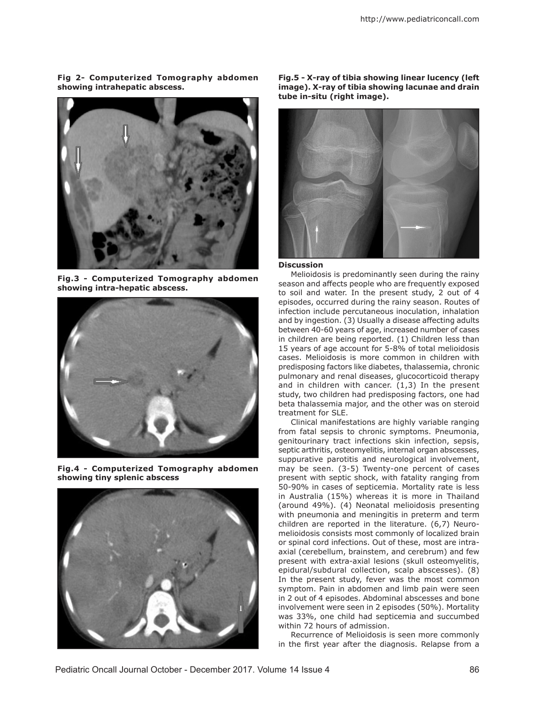#### **Fig 2- Computerized Tomography abdomen showing intrahepatic abscess.**



**Fig.3 - Computerized Tomography abdomen showing intra-hepatic abscess.**



**Fig.4 - Computerized Tomography abdomen showing tiny splenic abscess**



**Fig.5 - X-ray of tibia showing linear lucency (left image). X-ray of tibia showing lacunae and drain tube in-situ (right image).**



#### **Discussion**

Melioidosis is predominantly seen during the rainy season and affects people who are frequently exposed to soil and water. In the present study, 2 out of 4 episodes, occurred during the rainy season. Routes of infection include percutaneous inoculation, inhalation and by ingestion. (3) Usually a disease affecting adults between 40-60 years of age, increased number of cases in children are being reported. (1) Children less than 15 years of age account for 5-8% of total melioidosis cases. Melioidosis is more common in children with predisposing factors like diabetes, thalassemia, chronic pulmonary and renal diseases, glucocorticoid therapy and in children with cancer. (1,3) In the present study, two children had predisposing factors, one had beta thalassemia major, and the other was on steroid treatment for SLE.

Clinical manifestations are highly variable ranging from fatal sepsis to chronic symptoms. Pneumonia, genitourinary tract infections skin infection, sepsis, septic arthritis, osteomyelitis, internal organ abscesses, suppurative parotitis and neurological involvement, may be seen. (3-5) Twenty-one percent of cases present with septic shock, with fatality ranging from 50-90% in cases of septicemia. Mortality rate is less in Australia (15%) whereas it is more in Thailand (around 49%). (4) Neonatal melioidosis presenting with pneumonia and meningitis in preterm and term children are reported in the literature. (6,7) Neuromelioidosis consists most commonly of localized brain or spinal cord infections. Out of these, most are intraaxial (cerebellum, brainstem, and cerebrum) and few present with extra-axial lesions (skull osteomyelitis, epidural/subdural collection, scalp abscesses). (8) In the present study, fever was the most common symptom. Pain in abdomen and limb pain were seen in 2 out of 4 episodes. Abdominal abscesses and bone involvement were seen in 2 episodes (50%). Mortality was 33%, one child had septicemia and succumbed within 72 hours of admission.

Recurrence of Melioidosis is seen more commonly in the first year after the diagnosis. Relapse from a